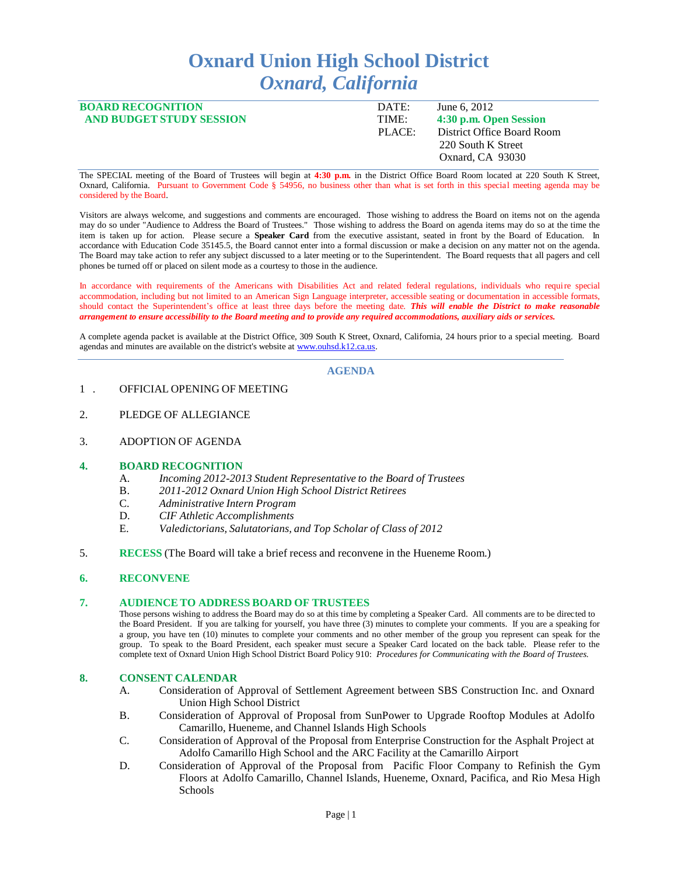# **Oxnard Union High School District** *Oxnard, California*

| <b>BOARD RECOGNITION</b>        | DATE:  | June 6, 2012                                                         |
|---------------------------------|--------|----------------------------------------------------------------------|
| <b>AND BUDGET STUDY SESSION</b> | TIME:  | 4:30 p.m. Open Session                                               |
|                                 | PLACE: | District Office Board Room<br>220 South K Street<br>Oxnard, CA 93030 |

The SPECIAL meeting of the Board of Trustees will begin at **4:30 p.m.** in the District Office Board Room located at 220 South K Street, Oxnard, California. Pursuant to Government Code § 54956, no business other than what is set forth in this special meeting agenda may be considered by the Board.

Visitors are always welcome, and suggestions and comments are encouraged. Those wishing to address the Board on items not on the agenda may do so under "Audience to Address the Board of Trustees." Those wishing to address the Board on agenda items may do so at the time the item is taken up for action. Please secure a **Speaker Card** from the executive assistant, seated in front by the Board of Education. In accordance with Education Code 35145.5, the Board cannot enter into a formal discussion or make a decision on any matter not on the agenda. The Board may take action to refer any subject discussed to a later meeting or to the Superintendent. The Board requests that all pagers and cell phones be turned off or placed on silent mode as a courtesy to those in the audience.

In accordance with requirements of the Americans with Disabilities Act and related federal regulations, individuals who require special accommodation, including but not limited to an American Sign Language interpreter, accessible seating or documentation in accessible formats, should contact the Superintendent's office at least three days before the meeting date. *This will enable the District to make reasonable*  arrangement to ensure accessibility to the Board meeting and to provide any required accommodations, auxiliary aids or services.

A complete agenda packet is available at the District Office, 309 South K Street, Oxnard, California, 24 hours prior to a special meeting. Board agendas and minutes are available on the district's website a[t www.ouhsd.k12.ca.us.](http://www.ouhsd.k12.ca.us/)

## **AGENDA**

- 1 . OFFICIAL OPENING OF MEETING
- 2. PLEDGE OF ALLEGIANCE
- 3. ADOPTION OF AGENDA

### **4. BOARD RECOGNITION**

- A. *Incoming 2012-2013 Student Representative to the Board of Trustees*
- B. *2011-2012 Oxnard Union High School District Retirees*
- C. *Administrative Intern Program*
- D. *CIF Athletic Accomplishments*
- E. *Valedictorians, Salutatorians, and Top Scholar of Class of 2012*
- 5. **RECESS** (The Board will take a brief recess and reconvene in the Hueneme Room.)

### **6. RECONVENE**

### **7. AUDIENCETO ADDRESS BOARD OF TRUSTEES**

Those persons wishing to address the Board may do so at this time by completing a Speaker Card. All comments are to be directed to the Board President. If you are talking for yourself, you have three (3) minutes to complete your comments. If you are a speaking for a group, you have ten (10) minutes to complete your comments and no other member of the group you represent can speak for the group. To speak to the Board President, each speaker must secure a Speaker Card located on the back table. Please refer to the complete text of Oxnard Union High School District Board Policy 910: *Procedures for Communicating with the Board of Trustees.*

### **8. CONSENT CALENDAR**

- A. Consideration of Approval of Settlement Agreement between SBS Construction Inc. and Oxnard Union High School District
- B. Consideration of Approval of Proposal from SunPower to Upgrade Rooftop Modules at Adolfo Camarillo, Hueneme, and Channel Islands High Schools
- C. Consideration of Approval of the Proposal from Enterprise Construction for the Asphalt Project at Adolfo Camarillo High School and the ARC Facility at the Camarillo Airport
- D. Consideration of Approval of the Proposal from Pacific Floor Company to Refinish the Gym Floors at Adolfo Camarillo, Channel Islands, Hueneme, Oxnard, Pacifica, and Rio Mesa High Schools